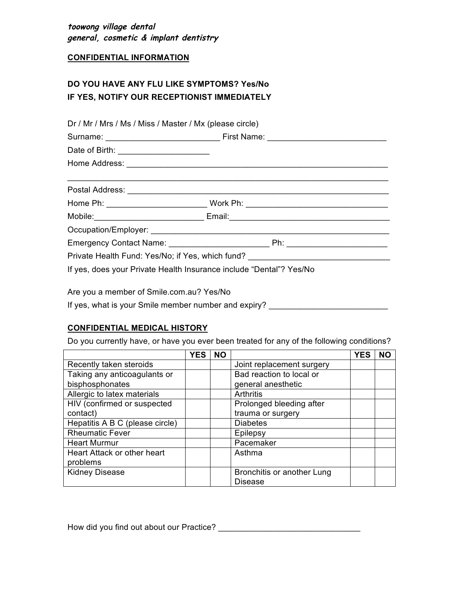**toowong village dental general, cosmetic & implant dentistry**

## **CONFIDENTIAL INFORMATION**

## **DO YOU HAVE ANY FLU LIKE SYMPTOMS? Yes/No IF YES, NOTIFY OUR RECEPTIONIST IMMEDIATELY**

| Dr / Mr / Mrs / Ms / Miss / Master / Mx (please circle)                          |                                                                                                                                                                                                                                |  |  |  |  |
|----------------------------------------------------------------------------------|--------------------------------------------------------------------------------------------------------------------------------------------------------------------------------------------------------------------------------|--|--|--|--|
|                                                                                  |                                                                                                                                                                                                                                |  |  |  |  |
| Date of Birth: _______________________                                           |                                                                                                                                                                                                                                |  |  |  |  |
|                                                                                  |                                                                                                                                                                                                                                |  |  |  |  |
|                                                                                  |                                                                                                                                                                                                                                |  |  |  |  |
|                                                                                  |                                                                                                                                                                                                                                |  |  |  |  |
|                                                                                  | Mobile: Email: Email: Email: Email: Email: Email: Email: Email: Email: Email: Email: Email: Email: Email: Email: Email: Email: Email: Email: Email: Email: Email: Email: Email: Email: Email: Email: Email: Email: Email: Emai |  |  |  |  |
|                                                                                  |                                                                                                                                                                                                                                |  |  |  |  |
|                                                                                  |                                                                                                                                                                                                                                |  |  |  |  |
| Private Health Fund: Yes/No; if Yes, which fund? _______________________________ |                                                                                                                                                                                                                                |  |  |  |  |
| If yes, does your Private Health Insurance include "Dental"? Yes/No              |                                                                                                                                                                                                                                |  |  |  |  |

Are you a member of Smile.com.au? Yes/No

If yes, what is your Smile member number and expiry? \_\_\_\_\_\_\_\_\_\_\_\_\_\_\_\_\_\_\_\_\_\_\_\_\_\_\_\_

## **CONFIDENTIAL MEDICAL HISTORY**

Do you currently have, or have you ever been treated for any of the following conditions?

|                                 | <b>YES</b> | <b>NO</b> |                            | <b>YES</b> | NΟ |
|---------------------------------|------------|-----------|----------------------------|------------|----|
| Recently taken steroids         |            |           | Joint replacement surgery  |            |    |
| Taking any anticoagulants or    |            |           | Bad reaction to local or   |            |    |
| bisphosphonates                 |            |           | general anesthetic         |            |    |
| Allergic to latex materials     |            |           | Arthritis                  |            |    |
| HIV (confirmed or suspected     |            |           | Prolonged bleeding after   |            |    |
| contact)                        |            |           | trauma or surgery          |            |    |
| Hepatitis A B C (please circle) |            |           | <b>Diabetes</b>            |            |    |
| <b>Rheumatic Fever</b>          |            |           | Epilepsy                   |            |    |
| <b>Heart Murmur</b>             |            |           | Pacemaker                  |            |    |
| Heart Attack or other heart     |            |           | Asthma                     |            |    |
| problems                        |            |           |                            |            |    |
| <b>Kidney Disease</b>           |            |           | Bronchitis or another Lung |            |    |
|                                 |            |           | <b>Disease</b>             |            |    |

How did you find out about our Practice? \_\_\_\_\_\_\_\_\_\_\_\_\_\_\_\_\_\_\_\_\_\_\_\_\_\_\_\_\_\_\_